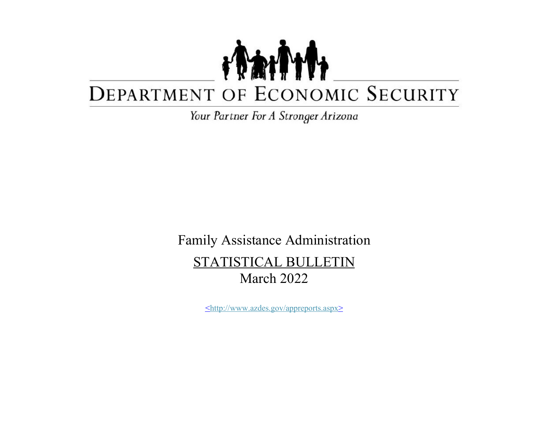## TANT DEPARTMENT OF ECONOMIC SECURITY

*Your Partner For A Stron9er Arizona* 

Family Assistance Administration STATISTICAL BULLETIN March 2022

<http://www.azdes.gov/appreports.aspx>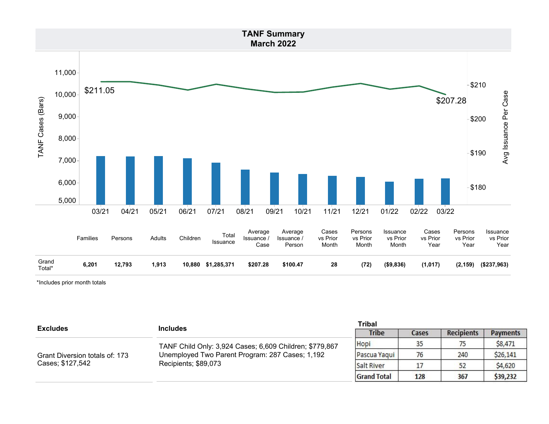

\*Includes prior month totals

| <b>Excludes</b>                | <b>Includes</b>                                                                                                                    | <b>Tribal</b>      |       |                   |                 |
|--------------------------------|------------------------------------------------------------------------------------------------------------------------------------|--------------------|-------|-------------------|-----------------|
|                                |                                                                                                                                    | <b>Tribe</b>       | Cases | <b>Recipients</b> | <b>Payments</b> |
|                                | TANF Child Only: 3,924 Cases; 6,609 Children; \$779,867<br>Unemployed Two Parent Program: 287 Cases; 1,192<br>Recipients; \$89,073 | Hopi               | 35    |                   | \$8,471         |
| Grant Diversion totals of: 173 |                                                                                                                                    | Pascua Yaqui       | 76    | 240               | \$26,141        |
| Cases; \$127,542               |                                                                                                                                    | Salt River         |       |                   | \$4,620         |
|                                |                                                                                                                                    | <b>Grand Total</b> | 128   | 367               | \$39,232        |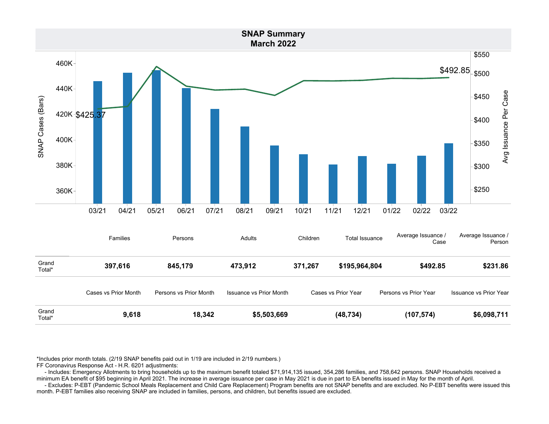

\*Includes prior month totals. (2/19 SNAP benefits paid out in 1/19 are included in 2/19 numbers.)

FF Coronavirus Response Act - H.R. 6201 adjustments:

 - Includes: Emergency Allotments to bring households up to the maximum benefit totaled \$71,914,135 issued, 354,286 families, and 758,642 persons. SNAP Households received a minimum EA benefit of \$95 beginning in April 2021. The increase in average issuance per case in May 2021 is due in part to EA benefits issued in May for the month of April.

 - Excludes: P-EBT (Pandemic School Meals Replacement and Child Care Replacement) Program benefits are not SNAP benefits and are excluded. No P-EBT benefits were issued this month. P-EBT families also receiving SNAP are included in families, persons, and children, but benefits issued are excluded.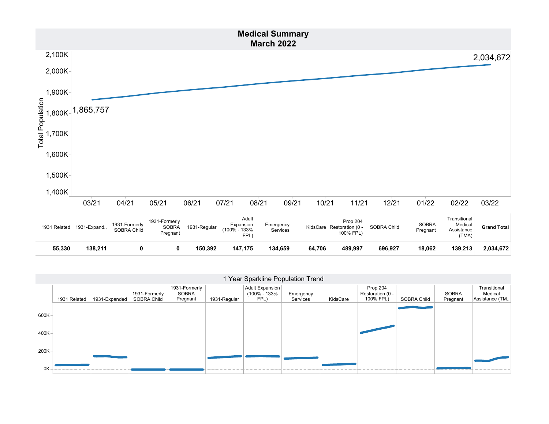

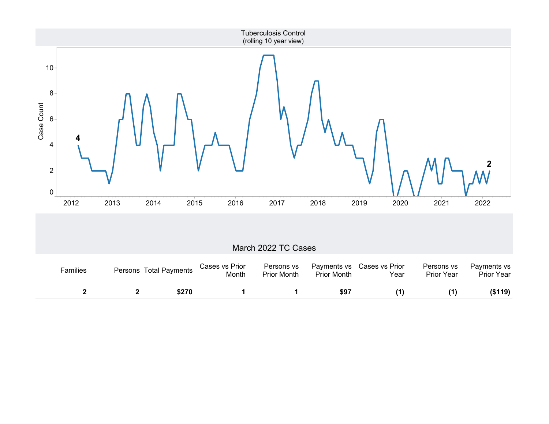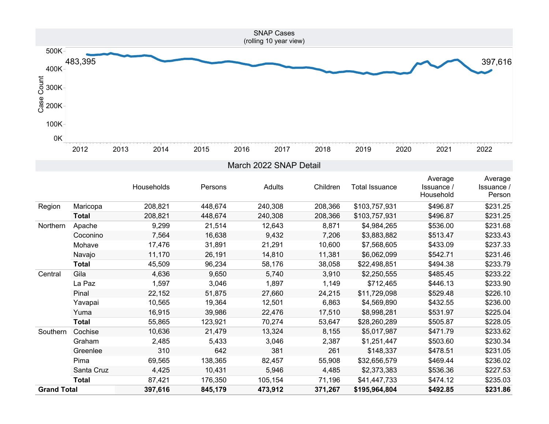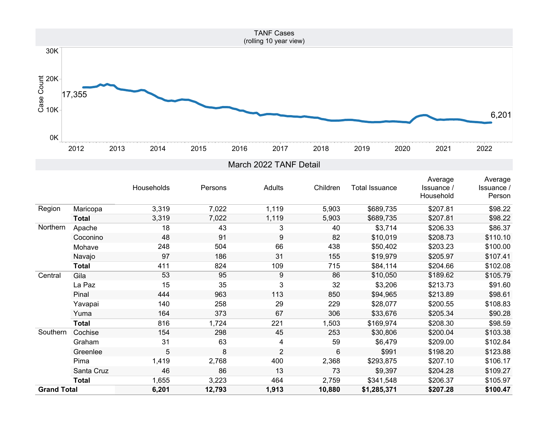

|                    |              | Households | Persons | Adults         | Children       | Total Issuance | Average<br>Issuance /<br>Household | Average<br><b>Issuance</b> /<br>Person |
|--------------------|--------------|------------|---------|----------------|----------------|----------------|------------------------------------|----------------------------------------|
| Region             | Maricopa     | 3,319      | 7,022   | 1,119          | 5,903          | \$689,735      | \$207.81                           | \$98.22                                |
|                    | <b>Total</b> | 3,319      | 7,022   | 1,119          | 5,903          | \$689,735      | \$207.81                           | \$98.22                                |
| Northern           | Apache       | 18         | 43      | 3              | 40             | \$3,714        | \$206.33                           | \$86.37                                |
|                    | Coconino     | 48         | 91      | 9              | 82             | \$10,019       | \$208.73                           | \$110.10                               |
|                    | Mohave       | 248        | 504     | 66             | 438            | \$50,402       | \$203.23                           | \$100.00                               |
|                    | Navajo       | 97         | 186     | 31             | 155            | \$19,979       | \$205.97                           | \$107.41                               |
|                    | <b>Total</b> | 411        | 824     | 109            | 715            | \$84,114       | \$204.66                           | \$102.08                               |
| Central            | Gila         | 53         | 95      | 9              | 86             | \$10,050       | \$189.62                           | \$105.79                               |
|                    | La Paz       | 15         | 35      | 3              | 32             | \$3,206        | \$213.73                           | \$91.60                                |
|                    | Pinal        | 444        | 963     | 113            | 850            | \$94,965       | \$213.89                           | \$98.61                                |
|                    | Yavapai      | 140        | 258     | 29             | 229            | \$28,077       | \$200.55                           | \$108.83                               |
|                    | Yuma         | 164        | 373     | 67             | 306            | \$33,676       | \$205.34                           | \$90.28                                |
|                    | <b>Total</b> | 816        | 1,724   | 221            | 1,503          | \$169,974      | \$208.30                           | \$98.59                                |
| Southern           | Cochise      | 154        | 298     | 45             | 253            | \$30,806       | \$200.04                           | \$103.38                               |
|                    | Graham       | 31         | 63      | 4              | 59             | \$6,479        | \$209.00                           | \$102.84                               |
|                    | Greenlee     | 5          | 8       | $\overline{2}$ | $6\phantom{1}$ | \$991          | \$198.20                           | \$123.88                               |
|                    | Pima         | 1,419      | 2,768   | 400            | 2,368          | \$293,875      | \$207.10                           | \$106.17                               |
|                    | Santa Cruz   | 46         | 86      | 13             | 73             | \$9,397        | \$204.28                           | \$109.27                               |
|                    | <b>Total</b> | 1,655      | 3,223   | 464            | 2,759          | \$341,548      | \$206.37                           | \$105.97                               |
| <b>Grand Total</b> |              | 6,201      | 12,793  | 1,913          | 10,880         | \$1,285,371    | \$207.28                           | \$100.47                               |